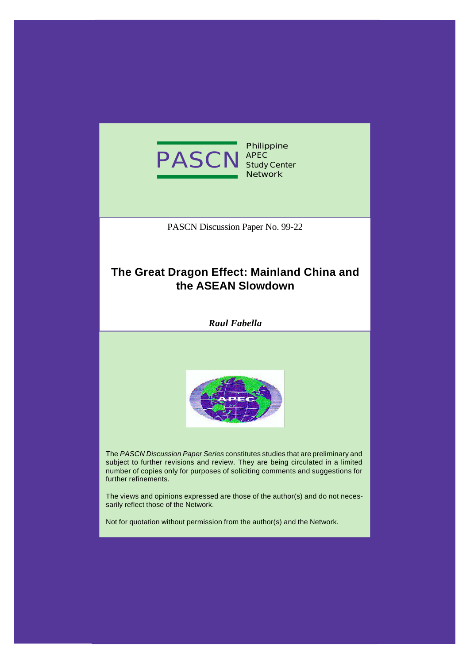

**Philippine Study Center Network**

PASCN Discussion Paper No. 99-22

# **The Great Dragon Effect: Mainland China and the ASEAN Slowdown**

*Raul Fabella*



The *PASCN Discussion Paper Series* constitutes studies that are preliminary and subject to further revisions and review. They are being circulated in a limited number of copies only for purposes of soliciting comments and suggestions for further refinements.

The views and opinions expressed are those of the author(s) and do not necessarily reflect those of the Network.

Not for quotation without permission from the author(s) and the Network.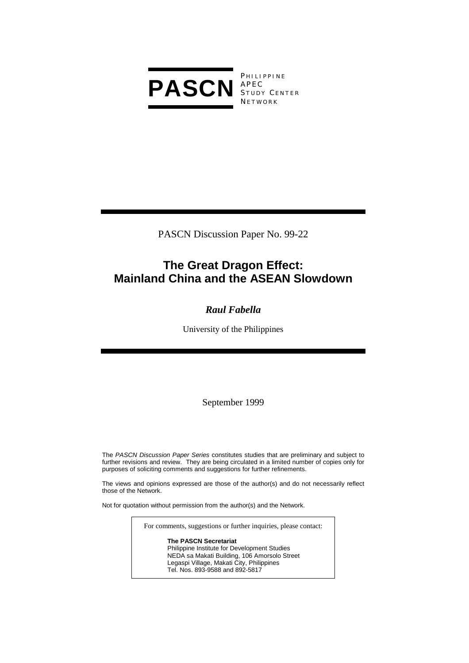

**PHILIPPINE** S TUDY C ENTER **NETWORK** 

PASCN Discussion Paper No. 99-22

# **The Great Dragon Effect: Mainland China and the ASEAN Slowdown**

# *Raul Fabella*

University of the Philippines

September 1999

The *PASCN Discussion Paper Series* constitutes studies that are preliminary and subject to further revisions and review. They are being circulated in a limited number of copies only for purposes of soliciting comments and suggestions for further refinements.

The views and opinions expressed are those of the author(s) and do not necessarily reflect those of the Network.

Not for quotation without permission from the author(s) and the Network.

For comments, suggestions or further inquiries, please contact:

**The PASCN Secretariat** Philippine Institute for Development Studies NEDA sa Makati Building, 106 Amorsolo Street Legaspi Village, Makati City, Philippines Tel. Nos. 893-9588 and 892-5817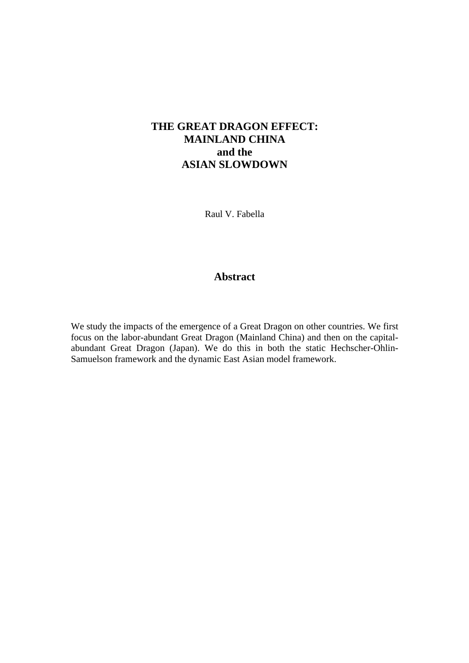# **THE GREAT DRAGON EFFECT: MAINLAND CHINA and the ASIAN SLOWDOWN**

Raul V. Fabella

# **Abstract**

We study the impacts of the emergence of a Great Dragon on other countries. We first focus on the labor-abundant Great Dragon (Mainland China) and then on the capitalabundant Great Dragon (Japan). We do this in both the static Hechscher-Ohlin-Samuelson framework and the dynamic East Asian model framework.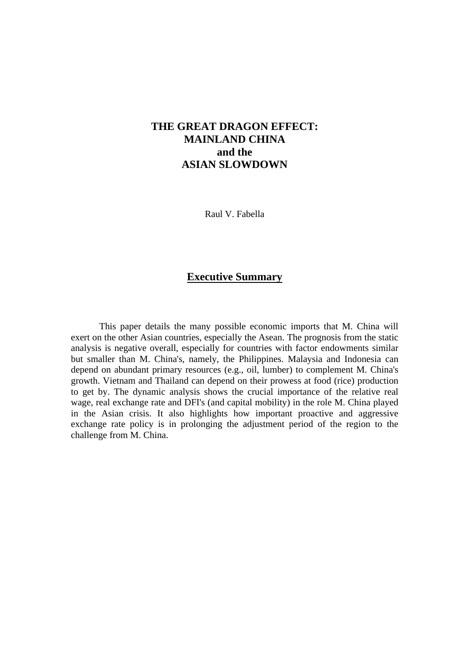# **THE GREAT DRAGON EFFECT: MAINLAND CHINA and the ASIAN SLOWDOWN**

Raul V. Fabella

# **Executive Summary**

This paper details the many possible economic imports that M. China will exert on the other Asian countries, especially the Asean. The prognosis from the static analysis is negative overall, especially for countries with factor endowments similar but smaller than M. China's, namely, the Philippines. Malaysia and Indonesia can depend on abundant primary resources (e.g., oil, lumber) to complement M. China's growth. Vietnam and Thailand can depend on their prowess at food (rice) production to get by. The dynamic analysis shows the crucial importance of the relative real wage, real exchange rate and DFI's (and capital mobility) in the role M. China played in the Asian crisis. It also highlights how important proactive and aggressive exchange rate policy is in prolonging the adjustment period of the region to the challenge from M. China.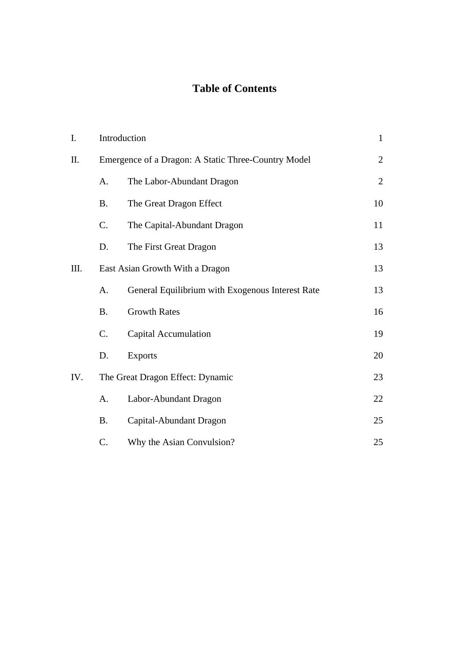# **Table of Contents**

| I.  | Introduction                                        |                                                  | $\mathbf{1}$   |
|-----|-----------------------------------------------------|--------------------------------------------------|----------------|
| Π.  | Emergence of a Dragon: A Static Three-Country Model |                                                  | $\overline{2}$ |
|     | A.                                                  | The Labor-Abundant Dragon                        | $\overline{2}$ |
|     | <b>B.</b>                                           | The Great Dragon Effect                          | 10             |
|     | $\mathcal{C}$ .                                     | The Capital-Abundant Dragon                      | 11             |
|     | D.                                                  | The First Great Dragon                           | 13             |
| Ш.  | East Asian Growth With a Dragon                     |                                                  | 13             |
|     | A.                                                  | General Equilibrium with Exogenous Interest Rate | 13             |
|     | <b>B.</b>                                           | <b>Growth Rates</b>                              | 16             |
|     | $C$ .                                               | Capital Accumulation                             | 19             |
|     | D.                                                  | <b>Exports</b>                                   | 20             |
| IV. | The Great Dragon Effect: Dynamic                    |                                                  | 23             |
|     | A.                                                  | Labor-Abundant Dragon                            | 22             |
|     | <b>B.</b>                                           | Capital-Abundant Dragon                          | 25             |
|     | C.                                                  | Why the Asian Convulsion?                        | 25             |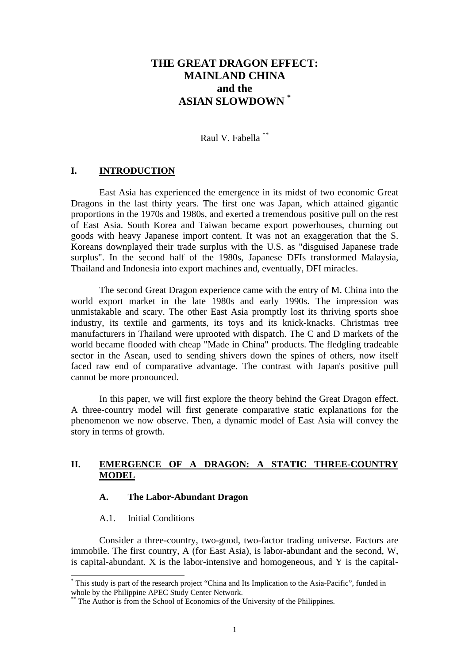# **THE GREAT DRAGON EFFECT: MAINLAND CHINA and the ASIAN SLOWDOWN \***

Raul V. Fabella \*\*

# **I. INTRODUCTION**

East Asia has experienced the emergence in its midst of two economic Great Dragons in the last thirty years. The first one was Japan, which attained gigantic proportions in the 1970s and 1980s, and exerted a tremendous positive pull on the rest of East Asia. South Korea and Taiwan became export powerhouses, churning out goods with heavy Japanese import content. It was not an exaggeration that the S. Koreans downplayed their trade surplus with the U.S. as "disguised Japanese trade surplus". In the second half of the 1980s, Japanese DFIs transformed Malaysia, Thailand and Indonesia into export machines and, eventually, DFI miracles.

The second Great Dragon experience came with the entry of M. China into the world export market in the late 1980s and early 1990s. The impression was unmistakable and scary. The other East Asia promptly lost its thriving sports shoe industry, its textile and garments, its toys and its knick-knacks. Christmas tree manufacturers in Thailand were uprooted with dispatch. The C and D markets of the world became flooded with cheap "Made in China" products. The fledgling tradeable sector in the Asean, used to sending shivers down the spines of others, now itself faced raw end of comparative advantage. The contrast with Japan's positive pull cannot be more pronounced.

In this paper, we will first explore the theory behind the Great Dragon effect. A three-country model will first generate comparative static explanations for the phenomenon we now observe. Then, a dynamic model of East Asia will convey the story in terms of growth.

# **II. EMERGENCE OF A DRAGON: A STATIC THREE-COUNTRY MODEL**

### **A. The Labor-Abundant Dragon**

#### A.1. Initial Conditions

 $\overline{a}$ 

Consider a three-country, two-good, two-factor trading universe. Factors are immobile. The first country, A (for East Asia), is labor-abundant and the second, W, is capital-abundant. X is the labor-intensive and homogeneous, and Y is the capital-

<sup>\*</sup> This study is part of the research project "China and Its Implication to the Asia-Pacific", funded in whole by the Philippine APEC Study Center Network.

The Author is from the School of Economics of the University of the Philippines.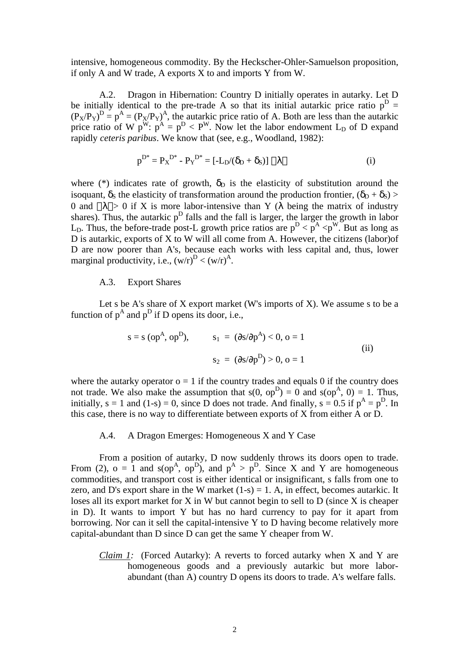intensive, homogeneous commodity. By the Heckscher-Ohler-Samuelson proposition, if only A and W trade, A exports X to and imports Y from W.

A.2. Dragon in Hibernation: Country D initially operates in autarky. Let D be initially identical to the pre-trade A so that its initial autarkic price ratio  $p^D =$  $(P_X/P_Y)^D = p^A = (P_X/P_Y)^A$ , the autarkic price ratio of A. Both are less than the autarkic price ratio of W  $p^W$ :  $p^A = p^D < P^W$ . Now let the labor endowment L<sub>D</sub> of D expand rapidly *ceteris paribus*. We know that (see, e.g., Woodland, 1982):

$$
p^{D^*} = P_X^{D^*} - P_Y^{D^*} = [-L_D/(\delta_D + \delta_S)] |\lambda|
$$
 (i)

where (\*) indicates rate of growth,  $\delta_{\rm D}$  is the elasticity of substitution around the isoquant,  $\delta_S$  the elasticity of transformation around the production frontier,  $(\delta_D + \delta_S)$  > 0 and  $|\lambda| > 0$  if X is more labor-intensive than Y ( $\lambda$  being the matrix of industry shares). Thus, the autarkic  $p<sup>D</sup>$  falls and the fall is larger, the larger the growth in labor L<sub>D</sub>. Thus, the before-trade post-L growth price ratios are  $p^D < p^A < p^W$ . But as long as D is autarkic, exports of X to W will all come from A. However, the citizens (labor)of D are now poorer than A's, because each works with less capital and, thus, lower marginal productivity, i.e.,  $(w/r)^D < (w/r)^A$ .

### A.3. Export Shares

Let s be A's share of  $X$  export market (W's imports of  $X$ ). We assume s to be a function of  $p^A$  and  $p^D$  if D opens its door, i.e.,

$$
s = s (opA, opD), \t s1 = (\partial s/\partial pA) < 0, o = 1
$$
  
\n
$$
s2 = (\partial s/\partial pD) > 0, o = 1
$$
 (ii)

where the autarky operator  $o = 1$  if the country trades and equals 0 if the country does not trade. We also make the assumption that  $s(0, op^D) = 0$  and  $s(op^A, 0) = 1$ . Thus, initially, s = 1 and (1-s) = 0, since D does not trade. And finally, s = 0.5 if  $p^A = p^D$ . In this case, there is no way to differentiate between exports of X from either A or D.

#### A.4. A Dragon Emerges: Homogeneous X and Y Case

From a position of autarky, D now suddenly throws its doors open to trade. From (2),  $o = 1$  and  $s(op^A, op^D)$ , and  $p^A > p^D$ . Since X and Y are homogeneous commodities, and transport cost is either identical or insignificant, s falls from one to zero, and D's export share in the W market  $(1-s) = 1$ . A, in effect, becomes autarkic. It loses all its export market for X in W but cannot begin to sell to D (since X is cheaper in D). It wants to import Y but has no hard currency to pay for it apart from borrowing. Nor can it sell the capital-intensive Y to D having become relatively more capital-abundant than D since D can get the same Y cheaper from W.

*Claim 1:* (Forced Autarky): A reverts to forced autarky when X and Y are homogeneous goods and a previously autarkic but more laborabundant (than A) country D opens its doors to trade. A's welfare falls.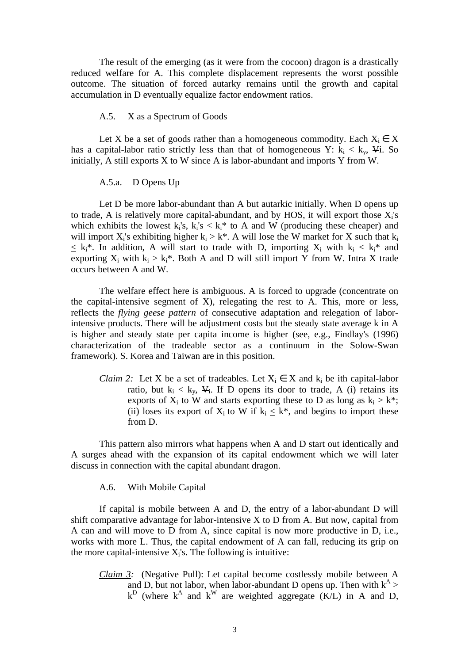The result of the emerging (as it were from the cocoon) dragon is a drastically reduced welfare for A. This complete displacement represents the worst possible outcome. The situation of forced autarky remains until the growth and capital accumulation in D eventually equalize factor endowment ratios.

# A.5. X as a Spectrum of Goods

Let X be a set of goods rather than a homogeneous commodity. Each  $X_i \in X$ has a capital-labor ratio strictly less than that of homogeneous Y:  $k_i < k_y$ ,  $4$ . So initially, A still exports X to W since A is labor-abundant and imports Y from W.

#### A.5.a. D Opens Up

Let D be more labor-abundant than A but autarkic initially. When D opens up to trade, A is relatively more capital-abundant, and by HOS, it will export those  $X_i$ 's which exhibits the lowest  $k_i$ 's,  $k_i$ 's  $\leq k_i$ <sup>\*</sup> to A and W (producing these cheaper) and will import  $X_i$ 's exhibiting higher  $k_i > k^*$ . A will lose the W market for X such that  $k_i$  $\leq k_i^*$ . In addition, A will start to trade with D, importing  $X_i$  with  $k_i < k_i^*$  and exporting  $X_i$  with  $k_i > k_i^*$ . Both A and D will still import Y from W. Intra X trade occurs between A and W.

The welfare effect here is ambiguous. A is forced to upgrade (concentrate on the capital-intensive segment of  $X$ ), relegating the rest to A. This, more or less, reflects the *flying geese pattern* of consecutive adaptation and relegation of laborintensive products. There will be adjustment costs but the steady state average k in A is higher and steady state per capita income is higher (see, e.g., Findlay's (1996) characterization of the tradeable sector as a continuum in the Solow-Swan framework). S. Korea and Taiwan are in this position.

*Claim 2:* Let X be a set of tradeables. Let  $X_i \in X$  and  $k_i$  be ith capital-labor ratio, but  $k_i < k_y$ ,  $\mathbf{V}_i$ . If D opens its door to trade, A (i) retains its exports of  $X_i$  to W and starts exporting these to D as long as  $k_i > k^*$ ; (ii) loses its export of  $X_i$  to W if  $k_i < k^*$ , and begins to import these from D.

This pattern also mirrors what happens when A and D start out identically and A surges ahead with the expansion of its capital endowment which we will later discuss in connection with the capital abundant dragon.

A.6. With Mobile Capital

If capital is mobile between A and D, the entry of a labor-abundant D will shift comparative advantage for labor-intensive X to D from A. But now, capital from A can and will move to D from A, since capital is now more productive in D, i.e., works with more L. Thus, the capital endowment of A can fall, reducing its grip on the more capital-intensive  $X_i$ 's. The following is intuitive:

*Claim 3:* (Negative Pull): Let capital become costlessly mobile between A and D, but not labor, when labor-abundant D opens up. Then with  $k^A$  >  $k^D$  (where  $k^A$  and  $k^W$  are weighted aggregate (K $\overline{L}$ ) in A and D,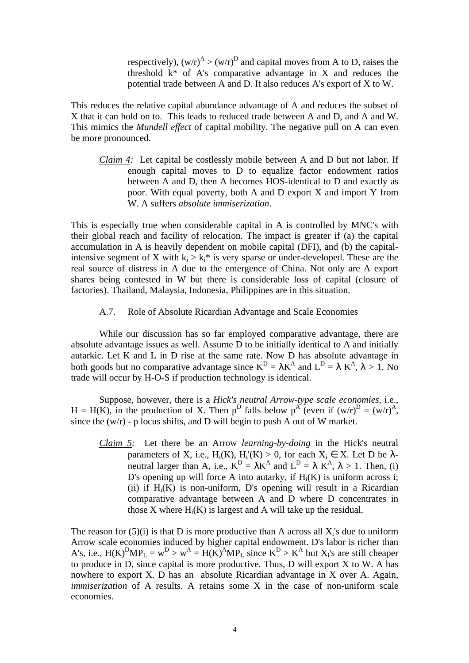respectively),  $(w/r)^A > (w/r)^D$  and capital moves from A to D, raises the threshold  $k^*$  of A's comparative advantage in X and reduces the potential trade between A and D. It also reduces A's export of X to W.

This reduces the relative capital abundance advantage of A and reduces the subset of X that it can hold on to. This leads to reduced trade between A and D, and A and W. This mimics the *Mundell effect* of capital mobility. The negative pull on A can even be more pronounced.

*Claim 4:* Let capital be costlessly mobile between A and D but not labor. If enough capital moves to D to equalize factor endowment ratios between A and D, then A becomes HOS-identical to D and exactly as poor. With equal poverty, both A and D export X and import Y from W. A suffers *absolute immiserization*.

This is especially true when considerable capital in A is controlled by MNC's with their global reach and facility of relocation. The impact is greater if (a) the capital accumulation in A is heavily dependent on mobile capital (DFI), and (b) the capitalintensive segment of X with  $k_i > k_i^*$  is very sparse or under-developed. These are the real source of distress in A due to the emergence of China. Not only are A export shares being contested in W but there is considerable loss of capital (closure of factories). Thailand, Malaysia, Indonesia, Philippines are in this situation.

A.7. Role of Absolute Ricardian Advantage and Scale Economies

While our discussion has so far employed comparative advantage, there are absolute advantage issues as well. Assume D to be initially identical to A and initially autarkic. Let K and L in D rise at the same rate. Now D has absolute advantage in both goods but no comparative advantage since  $K^D = \lambda K^A$  and  $L^D = \lambda K^A$ ,  $\lambda > 1$ . No trade will occur by H-O-S if production technology is identical.

Suppose, however, there is a *Hick's neutral Arrow-type scale economies*, i.e., H = H(K), in the production of X. Then p<sup>D</sup> falls below p<sup>A</sup> (even if  $(w/r)^D = (w/r)^A$ , since the  $(w/r)$  - p locus shifts, and D will begin to push A out of W market.

*Claim 5:* Let there be an Arrow *learning-by-doing* in the Hick's neutral parameters of X, i.e.,  $H_i(K)$ ,  $H_i(K) > 0$ , for each  $X_i \in X$ . Let D be  $\lambda$ neutral larger than A, i.e.,  $K^D = \lambda K^A$  and  $L^D = \lambda K^A$ ,  $\lambda > 1$ . Then, (i) D's opening up will force A into autarky, if  $H_i(K)$  is uniform across i; (ii) if  $H<sub>i</sub>(K)$  is non-uniform. D's opening will result in a Ricardian comparative advantage between A and D where D concentrates in those X where  $H_i(K)$  is largest and A will take up the residual.

The reason for  $(5)(i)$  is that D is more productive than A across all  $X_i$ 's due to uniform Arrow scale economies induced by higher capital endowment. D's labor is richer than A's, i.e.,  $H(K)^DMP_L = w^D > w^A = H(K)^AMP_L$  since  $K^D > K^A$  but  $X_i$ 's are still cheaper to produce in D, since capital is more productive. Thus, D will export X to W. A has nowhere to export X. D has an absolute Ricardian advantage in X over A. Again, *immiserization* of A results. A retains some X in the case of non-uniform scale economies.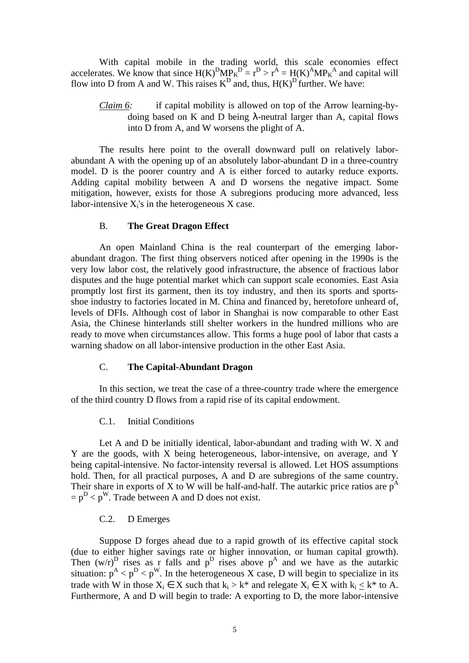With capital mobile in the trading world, this scale economies effect accelerates. We know that since  $H(K)^DMP_K^D = r^D > r^A = H(K)^AMP_K^A$  and capital will flow into D from A and W. This raises  $K^D$  and, thus,  $H(K)^D$  further. We have:

*Claim 6:* if capital mobility is allowed on top of the Arrow learning-bydoing based on K and D being λ-neutral larger than A, capital flows into D from A, and W worsens the plight of A.

The results here point to the overall downward pull on relatively laborabundant A with the opening up of an absolutely labor-abundant D in a three-country model. D is the poorer country and A is either forced to autarky reduce exports. Adding capital mobility between A and D worsens the negative impact. Some mitigation, however, exists for those A subregions producing more advanced, less labor-intensive  $X_i$ 's in the heterogeneous  $X$  case.

#### B. **The Great Dragon Effect**

An open Mainland China is the real counterpart of the emerging laborabundant dragon. The first thing observers noticed after opening in the 1990s is the very low labor cost, the relatively good infrastructure, the absence of fractious labor disputes and the huge potential market which can support scale economies. East Asia promptly lost first its garment, then its toy industry, and then its sports and sportsshoe industry to factories located in M. China and financed by, heretofore unheard of, levels of DFIs. Although cost of labor in Shanghai is now comparable to other East Asia, the Chinese hinterlands still shelter workers in the hundred millions who are ready to move when circumstances allow. This forms a huge pool of labor that casts a warning shadow on all labor-intensive production in the other East Asia.

### C. **The Capital-Abundant Dragon**

In this section, we treat the case of a three-country trade where the emergence of the third country D flows from a rapid rise of its capital endowment.

#### C.1. Initial Conditions

Let A and D be initially identical, labor-abundant and trading with W. X and Y are the goods, with X being heterogeneous, labor-intensive, on average, and Y being capital-intensive. No factor-intensity reversal is allowed. Let HOS assumptions hold. Then, for all practical purposes, A and D are subregions of the same country. Their share in exports of X to W will be half-and-half. The autarkic price ratios are  $p^A$  $=p^{D}$  < p<sup>W</sup>. Trade between A and D does not exist.

#### C.2. D Emerges

Suppose D forges ahead due to a rapid growth of its effective capital stock (due to either higher savings rate or higher innovation, or human capital growth). Then  $(w/r)^D$  rises as r falls and  $p^D$  rises above  $p^A$  and we have as the autarkic situation:  $p^{A} < p^{D} < p^{W}$ . In the heterogeneous X case, D will begin to specialize in its trade with W in those  $X_i \in X$  such that  $k_i > k^*$  and relegate  $X_i \in X$  with  $k_i \leq k^*$  to A. Furthermore, A and D will begin to trade: A exporting to D, the more labor-intensive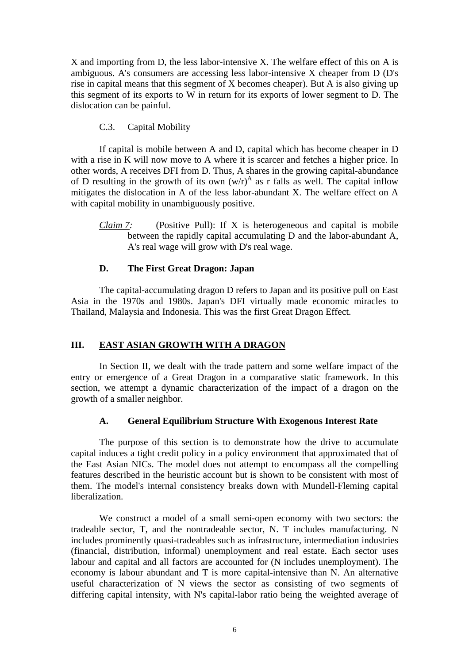X and importing from D, the less labor-intensive X. The welfare effect of this on A is ambiguous. A's consumers are accessing less labor-intensive X cheaper from D (D's rise in capital means that this segment of X becomes cheaper). But A is also giving up this segment of its exports to W in return for its exports of lower segment to D. The dislocation can be painful.

# C.3. Capital Mobility

If capital is mobile between A and D, capital which has become cheaper in D with a rise in K will now move to A where it is scarcer and fetches a higher price. In other words, A receives DFI from D. Thus, A shares in the growing capital-abundance of D resulting in the growth of its own  $(w/r)^A$  as r falls as well. The capital inflow mitigates the dislocation in A of the less labor-abundant X. The welfare effect on A with capital mobility in unambiguously positive.

*Claim 7:* (Positive Pull): If X is heterogeneous and capital is mobile between the rapidly capital accumulating D and the labor-abundant A, A's real wage will grow with D's real wage.

# **D. The First Great Dragon: Japan**

The capital-accumulating dragon D refers to Japan and its positive pull on East Asia in the 1970s and 1980s. Japan's DFI virtually made economic miracles to Thailand, Malaysia and Indonesia. This was the first Great Dragon Effect.

# **III. EAST ASIAN GROWTH WITH A DRAGON**

In Section II, we dealt with the trade pattern and some welfare impact of the entry or emergence of a Great Dragon in a comparative static framework. In this section, we attempt a dynamic characterization of the impact of a dragon on the growth of a smaller neighbor.

## **A. General Equilibrium Structure With Exogenous Interest Rate**

The purpose of this section is to demonstrate how the drive to accumulate capital induces a tight credit policy in a policy environment that approximated that of the East Asian NICs. The model does not attempt to encompass all the compelling features described in the heuristic account but is shown to be consistent with most of them. The model's internal consistency breaks down with Mundell-Fleming capital liberalization.

We construct a model of a small semi-open economy with two sectors: the tradeable sector, T, and the nontradeable sector, N. T includes manufacturing. N includes prominently quasi-tradeables such as infrastructure, intermediation industries (financial, distribution, informal) unemployment and real estate. Each sector uses labour and capital and all factors are accounted for (N includes unemployment). The economy is labour abundant and T is more capital-intensive than N. An alternative useful characterization of N views the sector as consisting of two segments of differing capital intensity, with N's capital-labor ratio being the weighted average of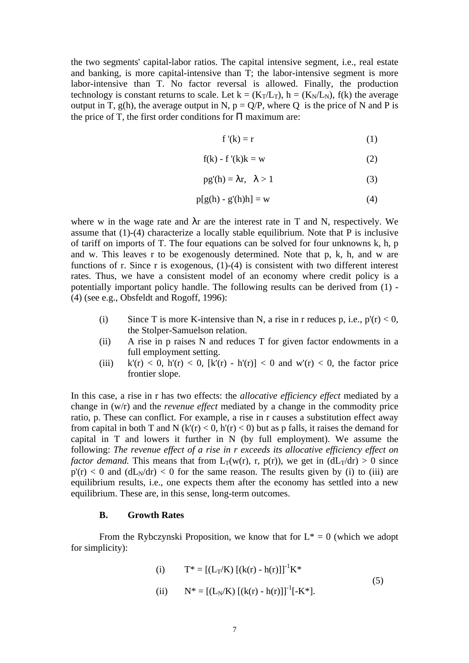the two segments' capital-labor ratios. The capital intensive segment, i.e., real estate and banking, is more capital-intensive than T; the labor-intensive segment is more labor-intensive than T. No factor reversal is allowed. Finally, the production technology is constant returns to scale. Let  $k = (K_T/L_T)$ ,  $h = (K_N/L_N)$ ,  $f(k)$  the average output in T, g(h), the average output in N,  $p = Q/P$ , where Q is the price of N and P is the price of T, the first order conditions for  $\Pi$  maximum are:

$$
f'(k) = r \tag{1}
$$

$$
f(k) - f'(k)k = w \tag{2}
$$

$$
pg'(h) = \lambda r, \quad \lambda > 1
$$
 (3)

$$
p[g(h) - g'(h)h] = w \tag{4}
$$

where w in the wage rate and  $\lambda r$  are the interest rate in T and N, respectively. We assume that (1)-(4) characterize a locally stable equilibrium. Note that P is inclusive of tariff on imports of T. The four equations can be solved for four unknowns k, h, p and w. This leaves r to be exogenously determined. Note that p, k, h, and w are functions of r. Since r is exogenous,  $(1)-(4)$  is consistent with two different interest rates. Thus, we have a consistent model of an economy where credit policy is a potentially important policy handle. The following results can be derived from (1) - (4) (see e.g., Obsfeldt and Rogoff, 1996):

- (i) Since T is more K-intensive than N, a rise in r reduces p, i.e.,  $p'(r) < 0$ , the Stolper-Samuelson relation.
- (ii) A rise in p raises N and reduces T for given factor endowments in a full employment setting.
- (iii)  $k'(r) < 0$ ,  $h'(r) < 0$ ,  $[k'(r) h'(r)] < 0$  and  $w'(r) < 0$ , the factor price frontier slope.

In this case, a rise in r has two effects: the *allocative efficiency effect* mediated by a change in (w/r) and the *revenue effect* mediated by a change in the commodity price ratio, p. These can conflict. For example, a rise in r causes a substitution effect away from capital in both T and N (k'(r) < 0, h'(r) < 0) but as p falls, it raises the demand for capital in T and lowers it further in N (by full employment). We assume the following: *The revenue effect of a rise in r exceeds its allocative efficiency effect on factor demand.* This means that from  $L_T(w(r), r, p(r))$ , we get in  $(dL_T/dr) > 0$  since  $p'(r) < 0$  and  $(dL<sub>N</sub>/dr) < 0$  for the same reason. The results given by (i) to (iii) are equilibrium results, i.e., one expects them after the economy has settled into a new equilibrium. These are, in this sense, long-term outcomes.

### **B. Growth Rates**

From the Rybczynski Proposition, we know that for  $L^* = 0$  (which we adopt for simplicity):

(i) 
$$
T^* = [(L_T/K) [(k(r) - h(r)]]^{-1} K^*
$$
  
(ii)  $N^* = [(L_N/K) [(k(r) - h(r)]]^{-1} [-K^*].$  (5)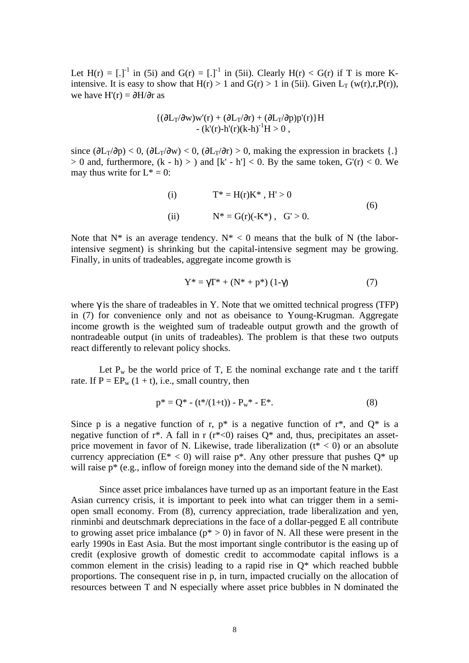Let  $H(r) = \begin{bmatrix} 1 \\ 1 \end{bmatrix}$  in (5i) and  $G(r) = \begin{bmatrix} 1 \\ 1 \end{bmatrix}$  in (5ii). Clearly  $H(r) < G(r)$  if T is more Kintensive. It is easy to show that  $H(r) > 1$  and  $G(r) > 1$  in (5ii). Given  $L_T$  (w(r),r, $P(r)$ ), we have H'(r) =  $\partial$ H/ $\partial$ r as

$$
\begin{array}{l}\n\{(\partial L_T/\partial w)w'(r)+(\partial L_T/\partial r)+(\partial L_T/\partial p)p'(r)\}H \\
\quad-\,(k'(r)\hbox{-}h'(r)(k\hbox{-}h)^{-1}H>0\;,\\
\end{array}
$$

since  $(\partial L_T/\partial p) < 0$ ,  $(\partial L_T/\partial w) < 0$ ,  $(\partial L_T/\partial r) > 0$ , making the expression in brackets {.}  $> 0$  and, furthermore,  $(k - h) > 0$  and  $[k' - h'] < 0$ . By the same token,  $G'(r) < 0$ . We may thus write for  $L^* = 0$ :

(i) 
$$
T^* = H(r)K^*
$$
,  $H' > 0$   
\n(ii)  $N^* = G(r)(-K^*)$ ,  $G' > 0$ . (6)

Note that  $N^*$  is an average tendency.  $N^*$  < 0 means that the bulk of N (the laborintensive segment) is shrinking but the capital-intensive segment may be growing. Finally, in units of tradeables, aggregate income growth is

$$
Y^* = \gamma T^* + (N^* + p^*) (1 - \gamma)
$$
 (7)

where  $\gamma$  is the share of tradeables in Y. Note that we omitted technical progress (TFP) in (7) for convenience only and not as obeisance to Young-Krugman. Aggregate income growth is the weighted sum of tradeable output growth and the growth of nontradeable output (in units of tradeables). The problem is that these two outputs react differently to relevant policy shocks.

Let  $P_w$  be the world price of T, E the nominal exchange rate and t the tariff rate. If  $P = EP_w (1 + t)$ , i.e., small country, then

$$
p^* = Q^* - (t^*/(1+t)) - P_w^* - E^*.
$$
 (8)

Since p is a negative function of r,  $p^*$  is a negative function of  $r^*$ , and  $Q^*$  is a negative function of  $r^*$ . A fall in r  $(r^*<0)$  raises  $O^*$  and, thus, precipitates an assetprice movement in favor of N. Likewise, trade liberalization  $(t^* < 0)$  or an absolute currency appreciation ( $E^*$  < 0) will raise  $p^*$ . Any other pressure that pushes  $Q^*$  up will raise  $p^*$  (e.g., inflow of foreign money into the demand side of the N market).

Since asset price imbalances have turned up as an important feature in the East Asian currency crisis, it is important to peek into what can trigger them in a semiopen small economy. From (8), currency appreciation, trade liberalization and yen, rinminbi and deutschmark depreciations in the face of a dollar-pegged E all contribute to growing asset price imbalance ( $p^* > 0$ ) in favor of N. All these were present in the early 1990s in East Asia. But the most important single contributor is the easing up of credit (explosive growth of domestic credit to accommodate capital inflows is a common element in the crisis) leading to a rapid rise in Q\* which reached bubble proportions. The consequent rise in p, in turn, impacted crucially on the allocation of resources between T and N especially where asset price bubbles in N dominated the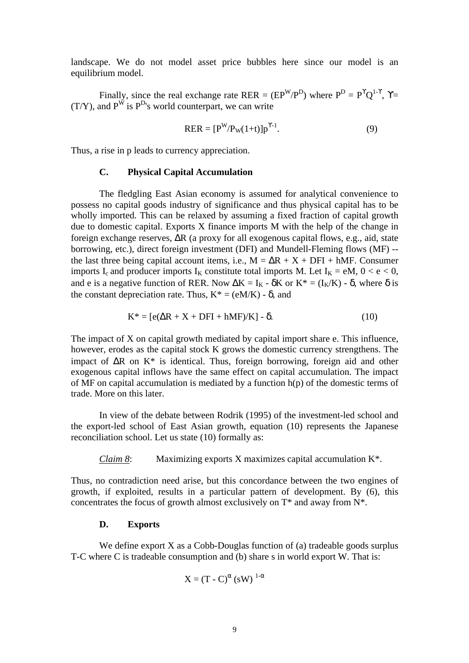landscape. We do not model asset price bubbles here since our model is an equilibrium model.

Finally, since the real exchange rate RER =  $(EP^{W}/P^{D})$  where  $P^{D} = P^{T}Q^{1-\gamma}$ ,  $\gamma =$  $(T/Y)$ , and  $P^{\dot{W}}$  is  $P^{D}$ 's world counterpart, we can write

$$
RER = [PW/PW(1+t)]pY-1.
$$
 (9)

Thus, a rise in p leads to currency appreciation.

#### **C. Physical Capital Accumulation**

The fledgling East Asian economy is assumed for analytical convenience to possess no capital goods industry of significance and thus physical capital has to be wholly imported. This can be relaxed by assuming a fixed fraction of capital growth due to domestic capital. Exports X finance imports M with the help of the change in foreign exchange reserves, ΔR (a proxy for all exogenous capital flows, e.g., aid, state borrowing, etc.), direct foreign investment (DFI) and Mundell-Fleming flows (MF) - the last three being capital account items, i.e.,  $M = \Delta R + X + DFI + hMF$ . Consumer imports I<sub>c</sub> and producer imports I<sub>K</sub> constitute total imports M. Let I<sub>K</sub> = eM,  $0 < e < 0$ , and e is a negative function of RER. Now  $\Delta K = I_K - \delta K$  or  $K^* = (I_K/K) - \delta$ , where  $\delta$  is the constant depreciation rate. Thus,  $K^* = (eM/K) - \delta$ , and

$$
K^* = [e(\Delta R + X + DFI + hMF)/K] - \delta. \tag{10}
$$

The impact of X on capital growth mediated by capital import share e. This influence, however, erodes as the capital stock K grows the domestic currency strengthens. The impact of  $\Delta R$  on  $K^*$  is identical. Thus, foreign borrowing, foreign aid and other exogenous capital inflows have the same effect on capital accumulation. The impact of MF on capital accumulation is mediated by a function  $h(p)$  of the domestic terms of trade. More on this later.

In view of the debate between Rodrik (1995) of the investment-led school and the export-led school of East Asian growth, equation (10) represents the Japanese reconciliation school. Let us state (10) formally as:

*Claim 8*: Maximizing exports X maximizes capital accumulation K\*.

Thus, no contradiction need arise, but this concordance between the two engines of growth, if exploited, results in a particular pattern of development. By (6), this concentrates the focus of growth almost exclusively on  $T^*$  and away from  $N^*$ .

#### **D. Exports**

We define export X as a Cobb-Douglas function of (a) tradeable goods surplus T-C where C is tradeable consumption and (b) share s in world export W. That is:

$$
X = (T - C)^{\alpha} (sW)^{1-\alpha}
$$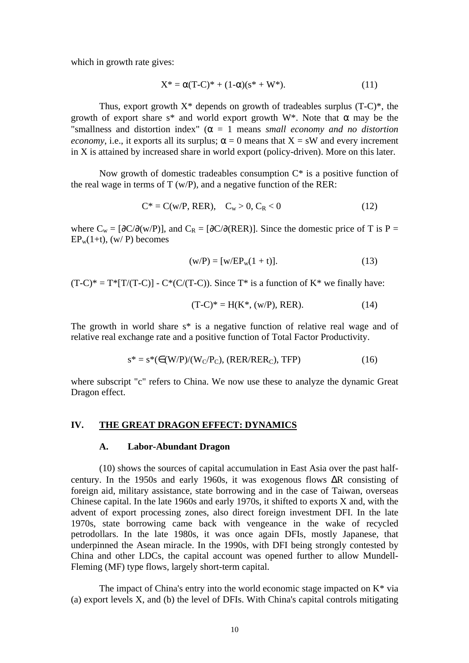which in growth rate gives:

$$
X^* = \alpha (T-C)^* + (1-\alpha)(s^* + W^*).
$$
 (11)

Thus, export growth  $X^*$  depends on growth of tradeables surplus  $(T-C)^*$ , the growth of export share s<sup>\*</sup> and world export growth W<sup>\*</sup>. Note that  $\alpha$  may be the "smallness and distortion index" ( $\alpha = 1$  means *small economy and no distortion economy*, i.e., it exports all its surplus;  $\alpha = 0$  means that  $X = sW$  and every increment in X is attained by increased share in world export (policy-driven). More on this later.

Now growth of domestic tradeables consumption  $C^*$  is a positive function of the real wage in terms of  $T (w/P)$ , and a negative function of the RER:

$$
C^* = C(w/P, RER), \quad C_w > 0, C_R < 0 \tag{12}
$$

where  $C_w = [\partial C/\partial (w/P)]$ , and  $C_R = [\partial C/\partial (RER)]$ . Since the domestic price of T is P =  $EP_w(1+t)$ , (w/ P) becomes

$$
(w/P) = [w/EP_w(1 + t)].
$$
 (13)

 $(T-C)^* = T^* [T/(T-C)] - C^* (C/(T-C))$ . Since  $T^*$  is a function of  $K^*$  we finally have:

$$
(T-C)^* = H(K^*, (w/P), RER). \tag{14}
$$

The growth in world share s\* is a negative function of relative real wage and of relative real exchange rate and a positive function of Total Factor Productivity.

$$
s^* = s^*(\in (W/P)/(W_C/P_C), (RER/RER_C), TFP)
$$
\n(16)

where subscript "c" refers to China. We now use these to analyze the dynamic Great Dragon effect.

#### **IV. THE GREAT DRAGON EFFECT: DYNAMICS**

#### **A. Labor-Abundant Dragon**

(10) shows the sources of capital accumulation in East Asia over the past halfcentury. In the 1950s and early 1960s, it was exogenous flows ΔR consisting of foreign aid, military assistance, state borrowing and in the case of Taiwan, overseas Chinese capital. In the late 1960s and early 1970s, it shifted to exports X and, with the advent of export processing zones, also direct foreign investment DFI. In the late 1970s, state borrowing came back with vengeance in the wake of recycled petrodollars. In the late 1980s, it was once again DFIs, mostly Japanese, that underpinned the Asean miracle. In the 1990s, with DFI being strongly contested by China and other LDCs, the capital account was opened further to allow Mundell-Fleming (MF) type flows, largely short-term capital.

The impact of China's entry into the world economic stage impacted on  $K^*$  via (a) export levels X, and (b) the level of DFIs. With China's capital controls mitigating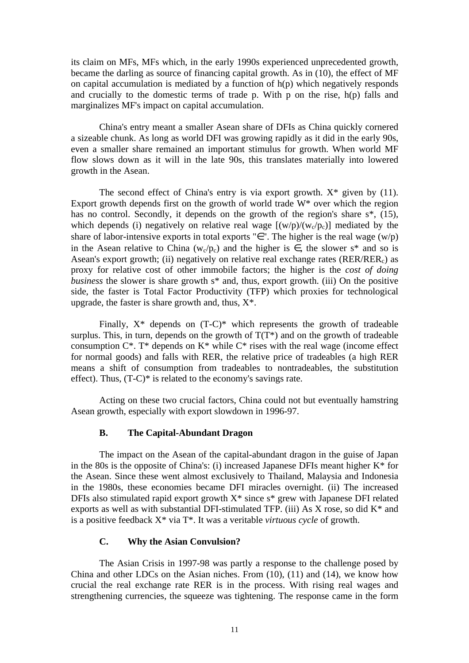its claim on MFs, MFs which, in the early 1990s experienced unprecedented growth, became the darling as source of financing capital growth. As in (10), the effect of MF on capital accumulation is mediated by a function of  $h(p)$  which negatively responds and crucially to the domestic terms of trade p. With p on the rise, h(p) falls and marginalizes MF's impact on capital accumulation.

China's entry meant a smaller Asean share of DFIs as China quickly cornered a sizeable chunk. As long as world DFI was growing rapidly as it did in the early 90s, even a smaller share remained an important stimulus for growth. When world MF flow slows down as it will in the late 90s, this translates materially into lowered growth in the Asean.

The second effect of China's entry is via export growth.  $X^*$  given by (11). Export growth depends first on the growth of world trade W\* over which the region has no control. Secondly, it depends on the growth of the region's share s<sup>\*</sup>, (15), which depends (i) negatively on relative real wage  $[(w/p)/(w_c/p_c)]$  mediated by the share of labor-intensive exports in total exports "∈". The higher is the real wage  $(w/p)$ in the Asean relative to China (w<sub>c</sub>/p<sub>c</sub>) and the higher is  $\in$ , the slower s<sup>\*</sup> and so is Asean's export growth; (ii) negatively on relative real exchange rates ( $RER/REF<sub>c</sub>$ ) as proxy for relative cost of other immobile factors; the higher is the *cost of doing business* the slower is share growth s<sup>\*</sup> and, thus, export growth. (iii) On the positive side, the faster is Total Factor Productivity (TFP) which proxies for technological upgrade, the faster is share growth and, thus,  $X^*$ .

Finally,  $X^*$  depends on  $(T-C)^*$  which represents the growth of tradeable surplus. This, in turn, depends on the growth of  $T(T^*)$  and on the growth of tradeable consumption  $C^*$ . T<sup>\*</sup> depends on  $K^*$  while  $C^*$  rises with the real wage (income effect for normal goods) and falls with RER, the relative price of tradeables (a high RER means a shift of consumption from tradeables to nontradeables, the substitution effect). Thus, (T-C)\* is related to the economy's savings rate.

Acting on these two crucial factors, China could not but eventually hamstring Asean growth, especially with export slowdown in 1996-97.

#### **B. The Capital-Abundant Dragon**

The impact on the Asean of the capital-abundant dragon in the guise of Japan in the 80s is the opposite of China's: (i) increased Japanese DFIs meant higher  $K^*$  for the Asean. Since these went almost exclusively to Thailand, Malaysia and Indonesia in the 1980s, these economies became DFI miracles overnight. (ii) The increased DFIs also stimulated rapid export growth  $X^*$  since  $s^*$  grew with Japanese DFI related exports as well as with substantial DFI-stimulated TFP. (iii) As X rose, so did K\* and is a positive feedback X\* via T\*. It was a veritable *virtuous cycle* of growth.

#### **C. Why the Asian Convulsion?**

The Asian Crisis in 1997-98 was partly a response to the challenge posed by China and other LDCs on the Asian niches. From (10), (11) and (14), we know how crucial the real exchange rate RER is in the process. With rising real wages and strengthening currencies, the squeeze was tightening. The response came in the form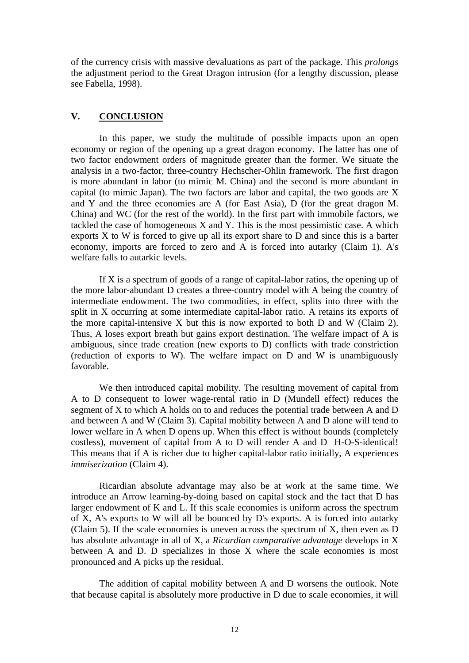of the currency crisis with massive devaluations as part of the package. This *prolongs* the adjustment period to the Great Dragon intrusion (for a lengthy discussion, please see Fabella, 1998).

# **V. CONCLUSION**

In this paper, we study the multitude of possible impacts upon an open economy or region of the opening up a great dragon economy. The latter has one of two factor endowment orders of magnitude greater than the former. We situate the analysis in a two-factor, three-country Hechscher-Ohlin framework. The first dragon is more abundant in labor (to mimic M. China) and the second is more abundant in capital (to mimic Japan). The two factors are labor and capital, the two goods are X and Y and the three economies are A (for East Asia), D (for the great dragon M. China) and WC (for the rest of the world). In the first part with immobile factors, we tackled the case of homogeneous X and Y. This is the most pessimistic case. A which exports X to W is forced to give up all its export share to D and since this is a barter economy, imports are forced to zero and A is forced into autarky (Claim 1). A's welfare falls to autarkic levels.

If X is a spectrum of goods of a range of capital-labor ratios, the opening up of the more labor-abundant D creates a three-country model with A being the country of intermediate endowment. The two commodities, in effect, splits into three with the split in X occurring at some intermediate capital-labor ratio. A retains its exports of the more capital-intensive X but this is now exported to both D and W (Claim 2). Thus, A loses export breath but gains export destination. The welfare impact of A is ambiguous, since trade creation (new exports to D) conflicts with trade constriction (reduction of exports to W). The welfare impact on D and W is unambiguously favorable.

We then introduced capital mobility. The resulting movement of capital from A to D consequent to lower wage-rental ratio in D (Mundell effect) reduces the segment of X to which A holds on to and reduces the potential trade between A and D and between A and W (Claim 3). Capital mobility between A and D alone will tend to lower welfare in A when D opens up. When this effect is without bounds (completely costless), movement of capital from A to D will render A and D H-O-S-identical! This means that if A is richer due to higher capital-labor ratio initially, A experiences *immiserization* (Claim 4).

Ricardian absolute advantage may also be at work at the same time. We introduce an Arrow learning-by-doing based on capital stock and the fact that D has larger endowment of K and L. If this scale economies is uniform across the spectrum of X, A's exports to W will all be bounced by D's exports. A is forced into autarky (Claim 5). If the scale economies is uneven across the spectrum of X, then even as D has absolute advantage in all of X, a *Ricardian comparative advantage* develops in X between A and D. D specializes in those X where the scale economies is most pronounced and A picks up the residual.

The addition of capital mobility between A and D worsens the outlook. Note that because capital is absolutely more productive in D due to scale economies, it will